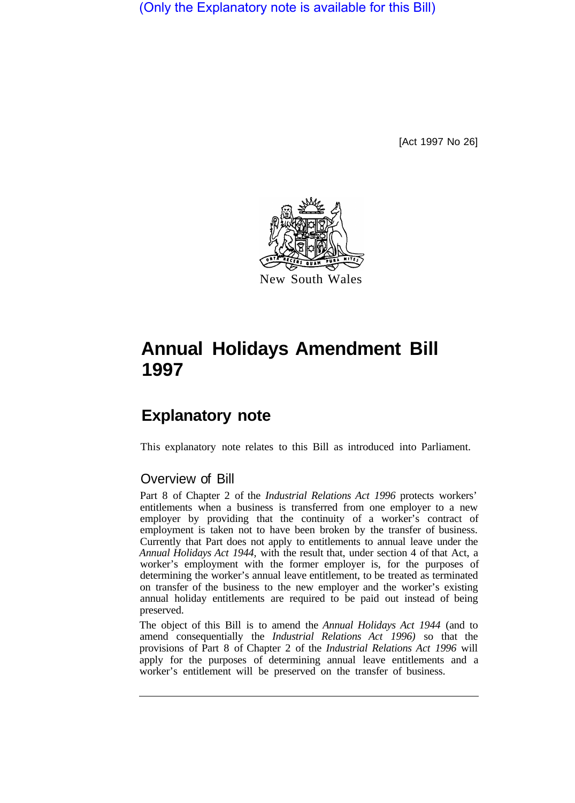(Only the Explanatory note is available for this Bill)

[Act 1997 No 26]



# **Annual Holidays Amendment Bill 1997**

## **Explanatory note**

This explanatory note relates to this Bill as introduced into Parliament.

#### Overview of Bill

Part 8 of Chapter 2 of the *Industrial Relations Act 1996* protects workers' entitlements when a business is transferred from one employer to a new employer by providing that the continuity of a worker's contract of employment is taken not to have been broken by the transfer of business. Currently that Part does not apply to entitlements to annual leave under the *Annual Holidays Act 1944,* with the result that, under section 4 of that Act, a worker's employment with the former employer is, for the purposes of determining the worker's annual leave entitlement, to be treated as terminated on transfer of the business to the new employer and the worker's existing annual holiday entitlements are required to be paid out instead of being preserved.

The object of this Bill is to amend the *Annual Holidays Act 1944* (and to amend consequentially the *Industrial Relations Act 1996)* so that the provisions of Part 8 of Chapter 2 of the *Industrial Relations Act 1996* will apply for the purposes of determining annual leave entitlements and a worker's entitlement will be preserved on the transfer of business.